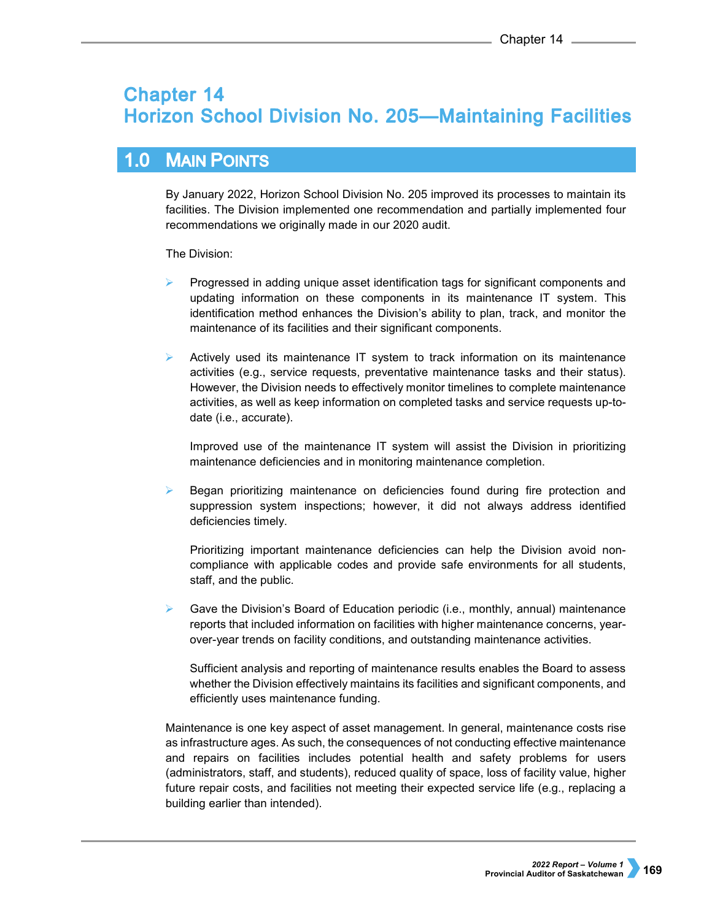# **Chapter 14 Horizon School Division No. 205-Maintaining Facilities**

## $1.0$ **MAIN POINTS**

By January 2022, Horizon School Division No. 205 improved its processes to maintain its facilities. The Division implemented one recommendation and partially implemented four recommendations we originally made in our 2020 audit.

The Division:

- Progressed in adding unique asset identification tags for significant components and updating information on these components in its maintenance IT system. This identification method enhances the Division's ability to plan, track, and monitor the maintenance of its facilities and their significant components.
- $\triangleright$  Actively used its maintenance IT system to track information on its maintenance activities (e.g., service requests, preventative maintenance tasks and their status). However, the Division needs to effectively monitor timelines to complete maintenance activities, as well as keep information on completed tasks and service requests up-todate (i.e., accurate).

Improved use of the maintenance IT system will assist the Division in prioritizing maintenance deficiencies and in monitoring maintenance completion.

 Began prioritizing maintenance on deficiencies found during fire protection and suppression system inspections; however, it did not always address identified deficiencies timely.

Prioritizing important maintenance deficiencies can help the Division avoid noncompliance with applicable codes and provide safe environments for all students, staff, and the public.

Gave the Division's Board of Education periodic (i.e., monthly, annual) maintenance reports that included information on facilities with higher maintenance concerns, yearover-year trends on facility conditions, and outstanding maintenance activities.

Sufficient analysis and reporting of maintenance results enables the Board to assess whether the Division effectively maintains its facilities and significant components, and efficiently uses maintenance funding.

Maintenance is one key aspect of asset management. In general, maintenance costs rise as infrastructure ages. As such, the consequences of not conducting effective maintenance and repairs on facilities includes potential health and safety problems for users (administrators, staff, and students), reduced quality of space, loss of facility value, higher future repair costs, and facilities not meeting their expected service life (e.g., replacing a building earlier than intended).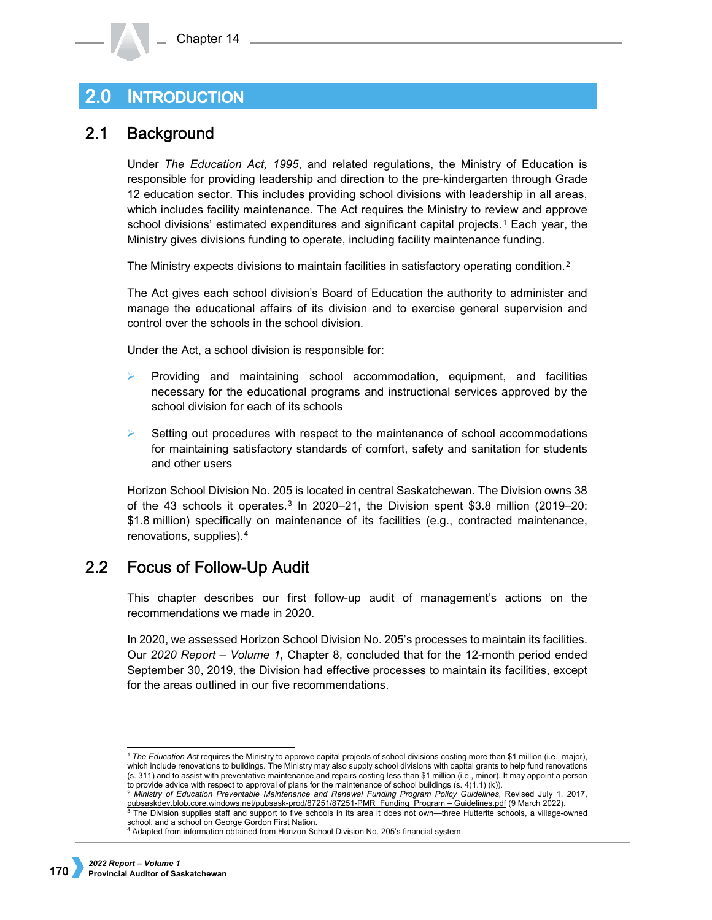## **INTRODUCTION**  $2.0\,$

## $2.1$ **Background**

Under *The Education Act, 1995*, and related regulations, the Ministry of Education is responsible for providing leadership and direction to the pre-kindergarten through Grade 12 education sector. This includes providing school divisions with leadership in all areas, which includes facility maintenance. The Act requires the Ministry to review and approve school divisions' estimated expenditures and significant capital projects.[1](#page-1-0) Each year, the Ministry gives divisions funding to operate, including facility maintenance funding.

The Ministry expects divisions to maintain facilities in satisfactory operating condition.<sup>[2](#page-1-1)</sup>

The Act gives each school division's Board of Education the authority to administer and manage the educational affairs of its division and to exercise general supervision and control over the schools in the school division.

Under the Act, a school division is responsible for:

- Providing and maintaining school accommodation, equipment, and facilities necessary for the educational programs and instructional services approved by the school division for each of its schools
- Setting out procedures with respect to the maintenance of school accommodations for maintaining satisfactory standards of comfort, safety and sanitation for students and other users

Horizon School Division No. 205 is located in central Saskatchewan. The Division owns 38 of the 4[3](#page-1-2) schools it operates. $3 \ln 2020 - 21$ , the Division spent \$3.8 million (2019–20: \$1.8 million) specifically on maintenance of its facilities (e.g., contracted maintenance, renovations, supplies).[4](#page-1-3)

## **Focus of Follow-Up Audit**  $2.2$

This chapter describes our first follow-up audit of management's actions on the recommendations we made in 2020.

In 2020, we assessed Horizon School Division No. 205's processes to maintain its facilities. Our *2020 Report – Volume 1*, Chapter 8, concluded that for the 12-month period ended September 30, 2019, the Division had effective processes to maintain its facilities, except for the areas outlined in our five recommendations.

-

<span id="page-1-0"></span><sup>1</sup> *The Education Act* requires the Ministry to approve capital projects of school divisions costing more than \$1 million (i.e., major), which include renovations to buildings. The Ministry may also supply school divisions with capital grants to help fund renovations (s. 311) and to assist with preventative maintenance and repairs costing less than \$1 million (i.e., minor). It may appoint a person to provide advice with respect to approval of plans for the maintenance of school buildings  $(s. 4(1.1) (k))$ .

<sup>2</sup> *Ministry of Education Preventable Maintenance and Renewal Funding Program Policy Guidelines*, Revised July 1, 2017,

<span id="page-1-2"></span><span id="page-1-1"></span><sup>&</sup>lt;u>pubsaskdev.blob.core.windows.net/pubsask-prod/87251/87251-PMR\_Funding\_Program – Guidelines.pdf</u> (9 March 2022).<br><sup>3</sup> The Division supplies staff and support to five schools in its area it does not own—three Hutterite schoo school, and a school on George Gordon First Nation.

<span id="page-1-3"></span><sup>4</sup> Adapted from information obtained from Horizon School Division No. 205's financial system.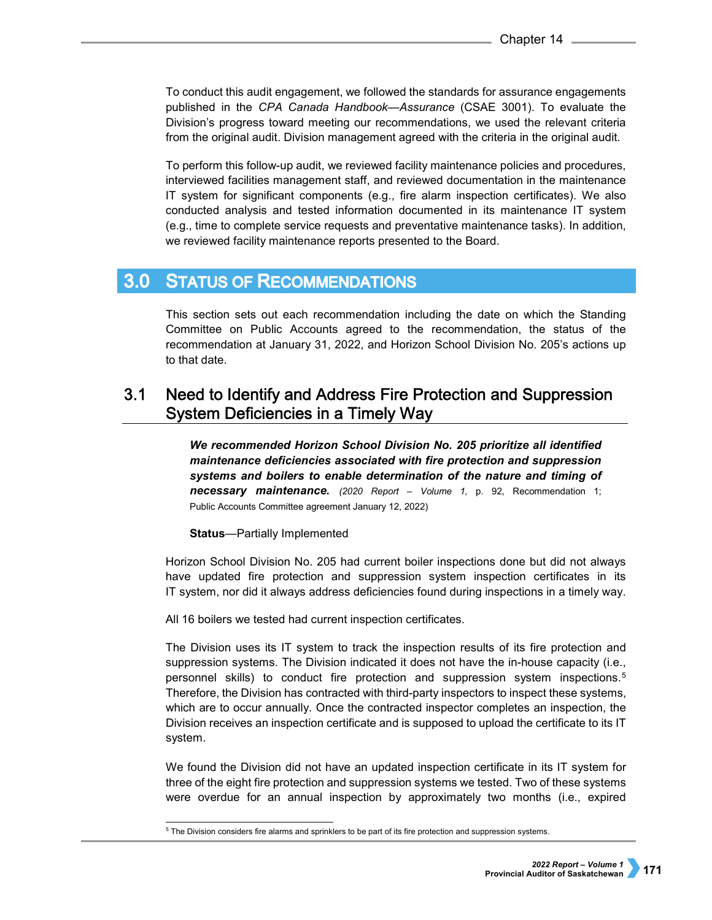To conduct this audit engagement, we followed the standards for assurance engagements published in the *CPA Canada Handbook—Assurance* (CSAE 3001). To evaluate the Division's progress toward meeting our recommendations, we used the relevant criteria from the original audit. Division management agreed with the criteria in the original audit.

To perform this follow-up audit, we reviewed facility maintenance policies and procedures, interviewed facilities management staff, and reviewed documentation in the maintenance IT system for significant components (e.g., fire alarm inspection certificates). We also conducted analysis and tested information documented in its maintenance IT system (e.g., time to complete service requests and preventative maintenance tasks). In addition, we reviewed facility maintenance reports presented to the Board.

## **STATUS OF RECOMMENDATIONS**  $3.0<sub>1</sub>$

This section sets out each recommendation including the date on which the Standing Committee on Public Accounts agreed to the recommendation, the status of the recommendation at January 31, 2022, and Horizon School Division No. 205's actions up to that date.

# $3.1$ Need to Identify and Address Fire Protection and Suppression **System Deficiencies in a Timely Way**

*We recommended Horizon School Division No. 205 prioritize all identified maintenance deficiencies associated with fire protection and suppression systems and boilers to enable determination of the nature and timing of necessary maintenance. (2020 Report – Volume 1,* p. 92, Recommendation 1; Public Accounts Committee agreement January 12, 2022)

**Status**—Partially Implemented

Horizon School Division No. 205 had current boiler inspections done but did not always have updated fire protection and suppression system inspection certificates in its IT system, nor did it always address deficiencies found during inspections in a timely way.

All 16 boilers we tested had current inspection certificates.

The Division uses its IT system to track the inspection results of its fire protection and suppression systems. The Division indicated it does not have the in-house capacity (i.e., personnel skills) to conduct fire protection and suppression system inspections.[5](#page-2-0) Therefore, the Division has contracted with third-party inspectors to inspect these systems, which are to occur annually. Once the contracted inspector completes an inspection, the Division receives an inspection certificate and is supposed to upload the certificate to its IT system.

We found the Division did not have an updated inspection certificate in its IT system for three of the eight fire protection and suppression systems we tested. Two of these systems were overdue for an annual inspection by approximately two months (i.e., expired

<span id="page-2-0"></span> $^5$  The Division considers fire alarms and sprinklers to be part of its fire protection and suppression systems.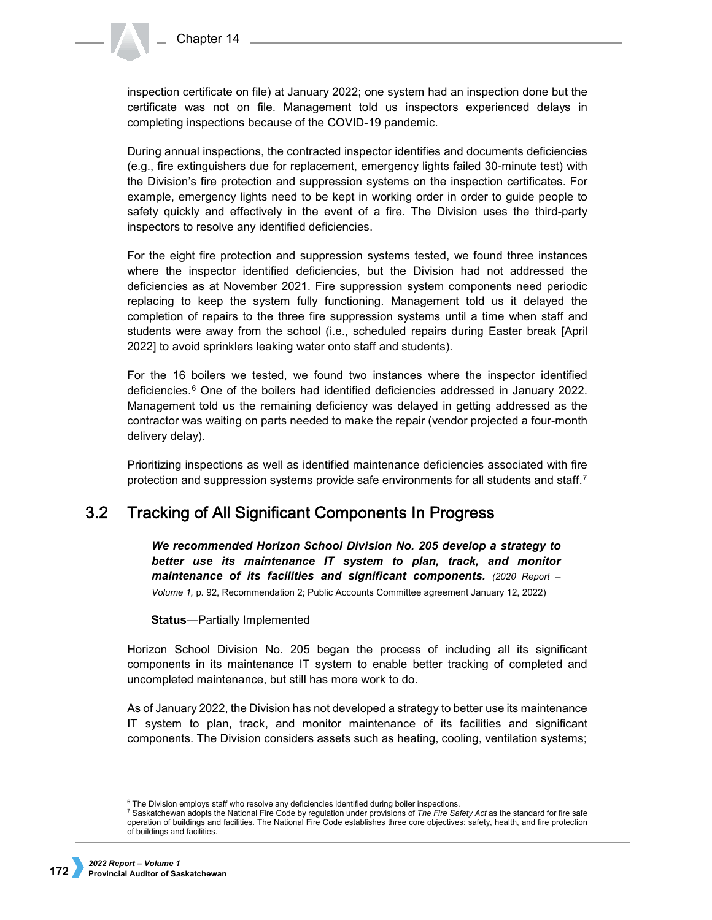inspection certificate on file) at January 2022; one system had an inspection done but the certificate was not on file. Management told us inspectors experienced delays in completing inspections because of the COVID-19 pandemic.

During annual inspections, the contracted inspector identifies and documents deficiencies (e.g., fire extinguishers due for replacement, emergency lights failed 30-minute test) with the Division's fire protection and suppression systems on the inspection certificates. For example, emergency lights need to be kept in working order in order to guide people to safety quickly and effectively in the event of a fire. The Division uses the third-party inspectors to resolve any identified deficiencies.

For the eight fire protection and suppression systems tested, we found three instances where the inspector identified deficiencies, but the Division had not addressed the deficiencies as at November 2021. Fire suppression system components need periodic replacing to keep the system fully functioning. Management told us it delayed the completion of repairs to the three fire suppression systems until a time when staff and students were away from the school (i.e., scheduled repairs during Easter break [April 2022] to avoid sprinklers leaking water onto staff and students).

For the 16 boilers we tested, we found two instances where the inspector identified deficiencies.[6](#page-3-0) One of the boilers had identified deficiencies addressed in January 2022. Management told us the remaining deficiency was delayed in getting addressed as the contractor was waiting on parts needed to make the repair (vendor projected a four-month delivery delay).

Prioritizing inspections as well as identified maintenance deficiencies associated with fire protection and suppression systems provide safe environments for all students and staff.<sup>7</sup>

## $3.2$ Tracking of All Significant Components In Progress

*We recommended Horizon School Division No. 205 develop a strategy to better use its maintenance IT system to plan, track, and monitor maintenance of its facilities and significant components. (2020 Report – Volume 1,* p. 92, Recommendation 2; Public Accounts Committee agreement January 12, 2022)

**Status**—Partially Implemented

Horizon School Division No. 205 began the process of including all its significant components in its maintenance IT system to enable better tracking of completed and uncompleted maintenance, but still has more work to do.

As of January 2022, the Division has not developed a strategy to better use its maintenance IT system to plan, track, and monitor maintenance of its facilities and significant components. The Division considers assets such as heating, cooling, ventilation systems;

 <sup>6</sup> The Division employs staff who resolve any deficiencies identified during boiler inspections.

<span id="page-3-1"></span><span id="page-3-0"></span><sup>7</sup> Saskatchewan adopts the National Fire Code by regulation under provisions of *The Fire Safety Act* as the standard for fire safe operation of buildings and facilities. The National Fire Code establishes three core objectives: safety, health, and fire protection of buildings and facilities.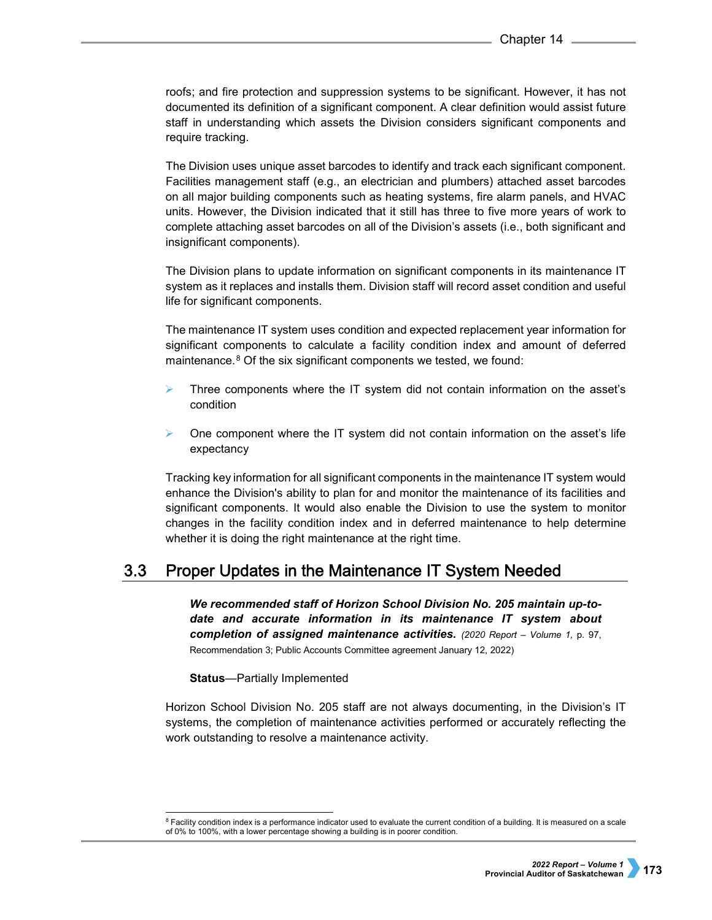roofs; and fire protection and suppression systems to be significant. However, it has not documented its definition of a significant component. A clear definition would assist future staff in understanding which assets the Division considers significant components and require tracking.

The Division uses unique asset barcodes to identify and track each significant component. Facilities management staff (e.g., an electrician and plumbers) attached asset barcodes on all major building components such as heating systems, fire alarm panels, and HVAC units. However, the Division indicated that it still has three to five more years of work to complete attaching asset barcodes on all of the Division's assets (i.e., both significant and insignificant components).

The Division plans to update information on significant components in its maintenance IT system as it replaces and installs them. Division staff will record asset condition and useful life for significant components.

The maintenance IT system uses condition and expected replacement year information for significant components to calculate a facility condition index and amount of deferred maintenance.<sup>8</sup> Of the six significant components we tested, we found:

- Three components where the IT system did not contain information on the asset's condition
- One component where the IT system did not contain information on the asset's life expectancy

Tracking key information for all significant components in the maintenance IT system would enhance the Division's ability to plan for and monitor the maintenance of its facilities and significant components. It would also enable the Division to use the system to monitor changes in the facility condition index and in deferred maintenance to help determine whether it is doing the right maintenance at the right time.

## $3.3$ **Proper Updates in the Maintenance IT System Needed**

*We recommended staff of Horizon School Division No. 205 maintain up-todate and accurate information in its maintenance IT system about completion of assigned maintenance activities. (2020 Report – Volume 1,* p. 97, Recommendation 3; Public Accounts Committee agreement January 12, 2022)

**Status**—Partially Implemented

Horizon School Division No. 205 staff are not always documenting, in the Division's IT systems, the completion of maintenance activities performed or accurately reflecting the work outstanding to resolve a maintenance activity.

<span id="page-4-0"></span> $^8$  Facility condition index is a performance indicator used to evaluate the current condition of a building. It is measured on a scale  $^8$ of 0% to 100%, with a lower percentage showing a building is in poorer condition.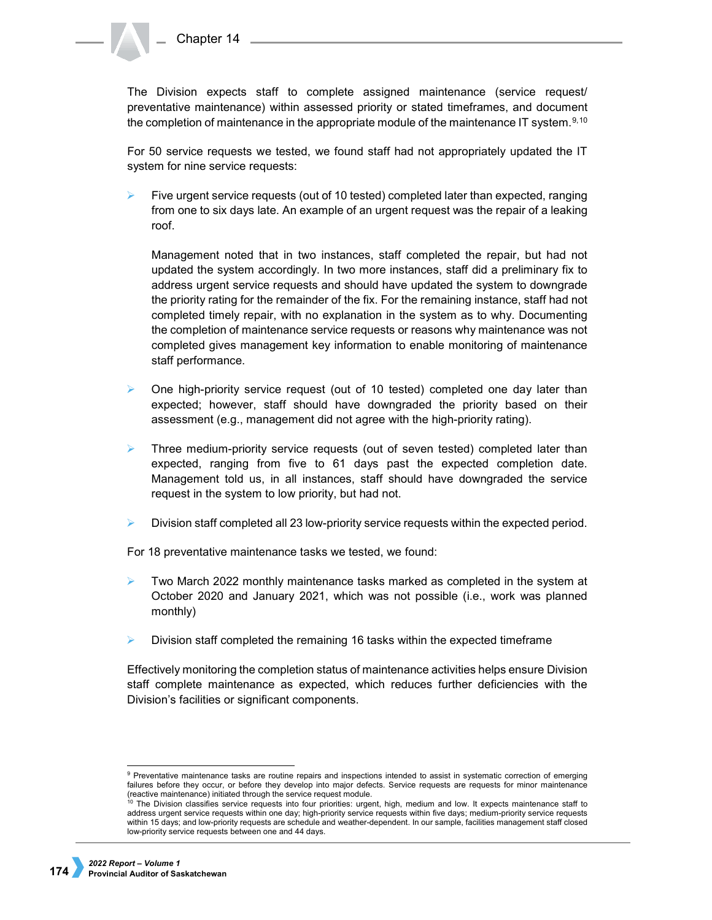The Division expects staff to complete assigned maintenance (service request/ preventative maintenance) within assessed priority or stated timeframes, and document the completion of maintenance in the appropriate module of the maintenance IT system.<sup>[9,](#page-5-0)[10](#page-5-1)</sup>

For 50 service requests we tested, we found staff had not appropriately updated the IT system for nine service requests:

 Five urgent service requests (out of 10 tested) completed later than expected, ranging from one to six days late. An example of an urgent request was the repair of a leaking roof.

Management noted that in two instances, staff completed the repair, but had not updated the system accordingly. In two more instances, staff did a preliminary fix to address urgent service requests and should have updated the system to downgrade the priority rating for the remainder of the fix. For the remaining instance, staff had not completed timely repair, with no explanation in the system as to why. Documenting the completion of maintenance service requests or reasons why maintenance was not completed gives management key information to enable monitoring of maintenance staff performance.

- One high-priority service request (out of 10 tested) completed one day later than expected; however, staff should have downgraded the priority based on their assessment (e.g., management did not agree with the high-priority rating).
- Three medium-priority service requests (out of seven tested) completed later than expected, ranging from five to 61 days past the expected completion date. Management told us, in all instances, staff should have downgraded the service request in the system to low priority, but had not.
- Division staff completed all 23 low-priority service requests within the expected period.

For 18 preventative maintenance tasks we tested, we found:

- Two March 2022 monthly maintenance tasks marked as completed in the system at October 2020 and January 2021, which was not possible (i.e., work was planned monthly)
- Division staff completed the remaining 16 tasks within the expected timeframe

Effectively monitoring the completion status of maintenance activities helps ensure Division staff complete maintenance as expected, which reduces further deficiencies with the Division's facilities or significant components.

<span id="page-5-0"></span><sup>&</sup>lt;sup>9</sup> Preventative maintenance tasks are routine repairs and inspections intended to assist in systematic correction of emerging failures before they occur, or before they develop into major defects. Service requests are requests for minor maintenance (reactive maintenance) initiated through the service request module.

<span id="page-5-1"></span>The Division classifies service requests into four priorities: urgent, high, medium and low. It expects maintenance staff to address urgent service requests within one day; high-priority service requests within five days; medium-priority service requests within 15 days; and low-priority requests are schedule and weather-dependent. In our sample, facilities management staff closed low-priority service requests between one and 44 days.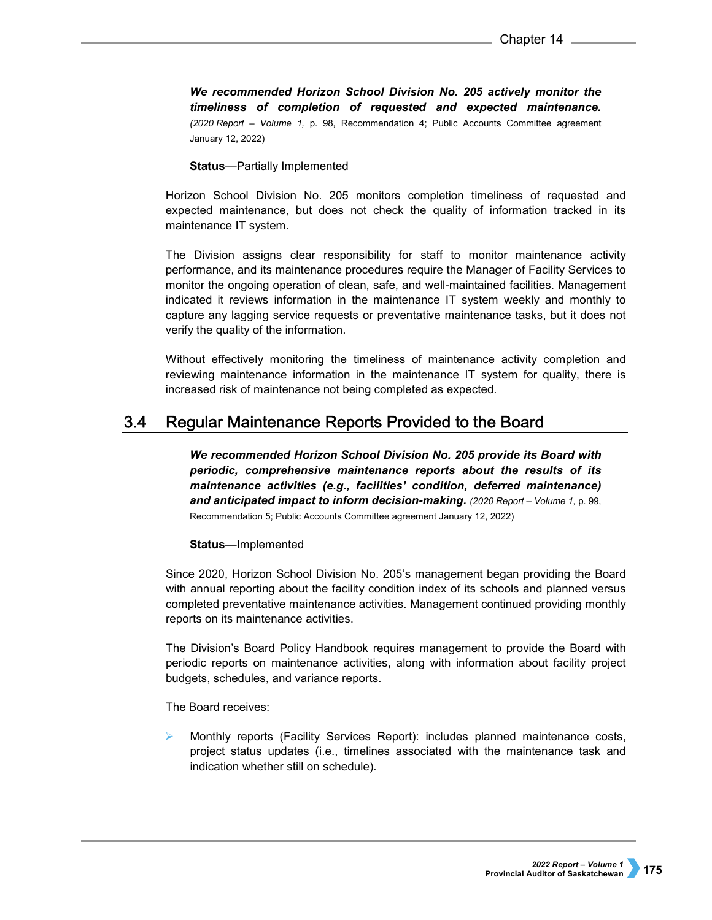*We recommended Horizon School Division No. 205 actively monitor the timeliness of completion of requested and expected maintenance. (2020 Report – Volume 1,* p. 98, Recommendation 4; Public Accounts Committee agreement January 12, 2022)

**Status**—Partially Implemented

Horizon School Division No. 205 monitors completion timeliness of requested and expected maintenance, but does not check the quality of information tracked in its maintenance IT system.

The Division assigns clear responsibility for staff to monitor maintenance activity performance, and its maintenance procedures require the Manager of Facility Services to monitor the ongoing operation of clean, safe, and well-maintained facilities. Management indicated it reviews information in the maintenance IT system weekly and monthly to capture any lagging service requests or preventative maintenance tasks, but it does not verify the quality of the information.

Without effectively monitoring the timeliness of maintenance activity completion and reviewing maintenance information in the maintenance IT system for quality, there is increased risk of maintenance not being completed as expected.

#### $3.4$ Regular Maintenance Reports Provided to the Board

*We recommended Horizon School Division No. 205 provide its Board with periodic, comprehensive maintenance reports about the results of its maintenance activities (e.g., facilities' condition, deferred maintenance) and anticipated impact to inform decision-making. (2020 Report – Volume 1,* p. 99, Recommendation 5; Public Accounts Committee agreement January 12, 2022)

## **Status**—Implemented

Since 2020, Horizon School Division No. 205's management began providing the Board with annual reporting about the facility condition index of its schools and planned versus completed preventative maintenance activities. Management continued providing monthly reports on its maintenance activities.

The Division's Board Policy Handbook requires management to provide the Board with periodic reports on maintenance activities, along with information about facility project budgets, schedules, and variance reports.

The Board receives:

 Monthly reports (Facility Services Report): includes planned maintenance costs, project status updates (i.e., timelines associated with the maintenance task and indication whether still on schedule).